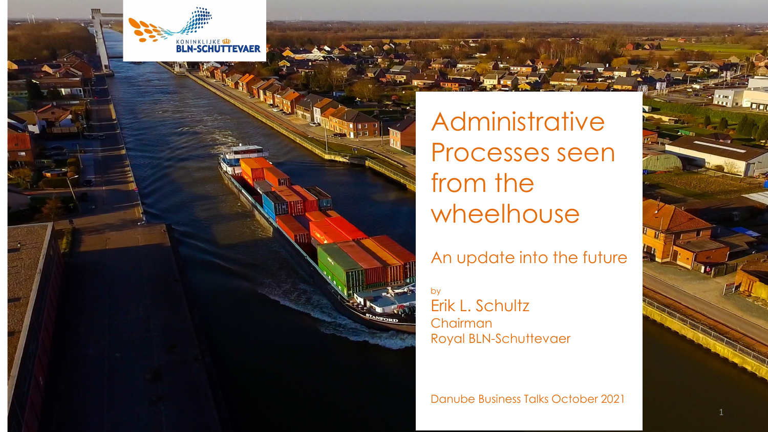

Administrative Processes seen from the wheelhouse

# An update into the future

by

Erik L. Schultz Chairman Royal BLN-Schuttevaer

Danube Business Talks October 2021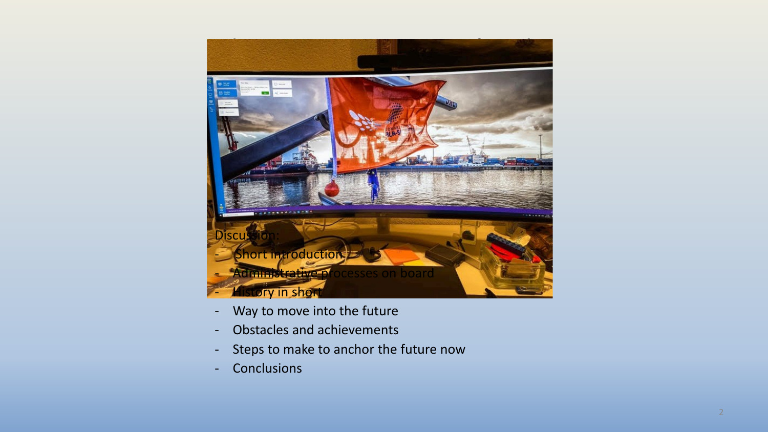

- Way to move into the future
- Obstacles and achievements
- Steps to make to anchor the future now
- Conclusions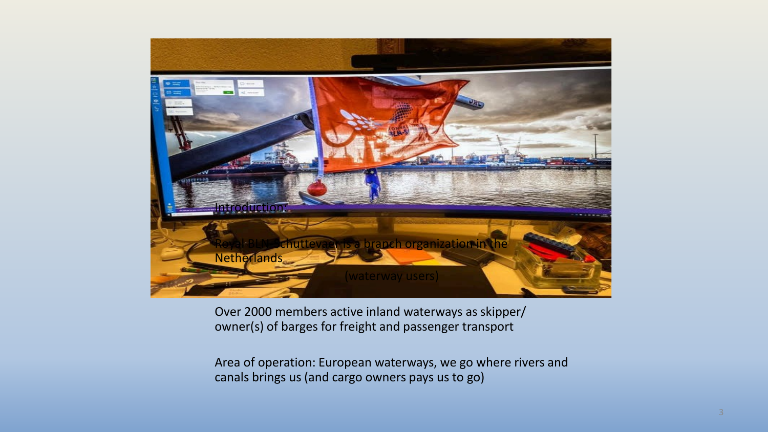

Over 2000 members active inland waterways as skipper/ owner(s) of barges for freight and passenger transport

Area of operation: European waterways, we go where rivers and canals brings us (and cargo owners pays us to go)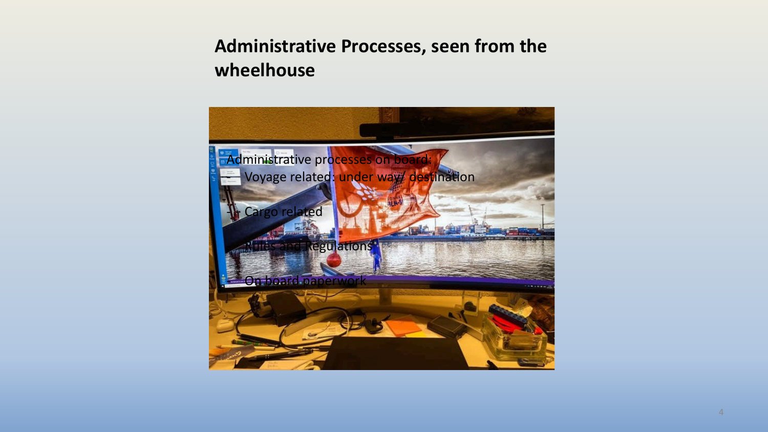# **Administrative Processes, seen from the wheelhouse**

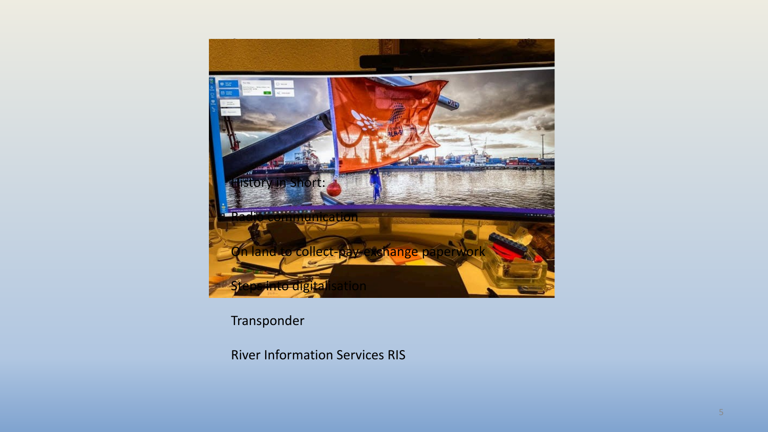

Transponder

River Information Services RIS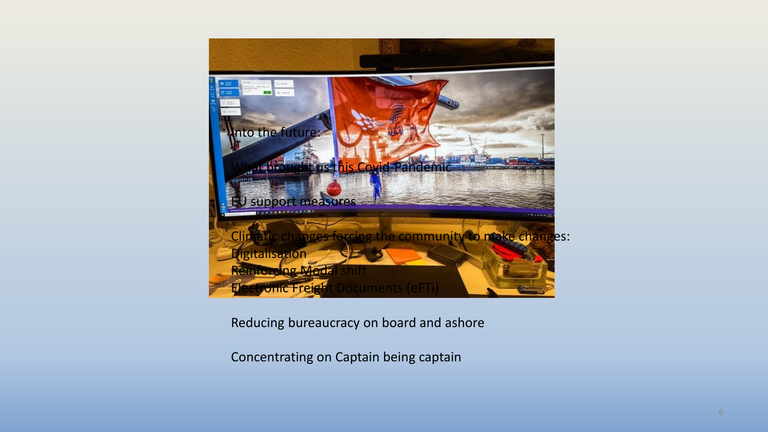

Reducing bureaucracy on board and ashore

Concentrating on Captain being captain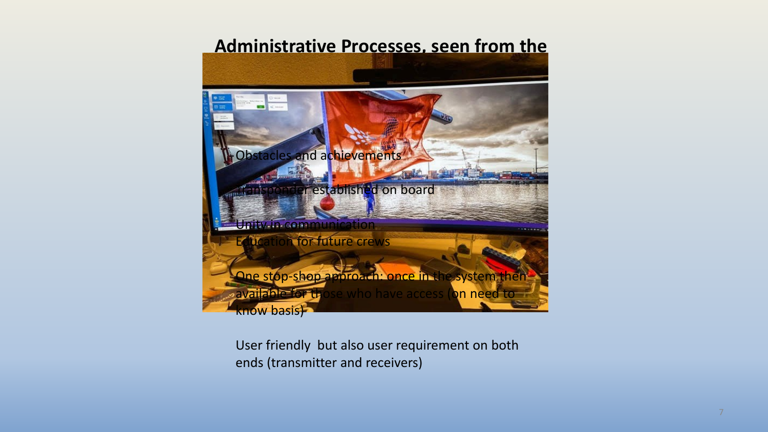## **Administrative Processes, seen from the**



User friendly but also user requirement on both ends (transmitter and receivers)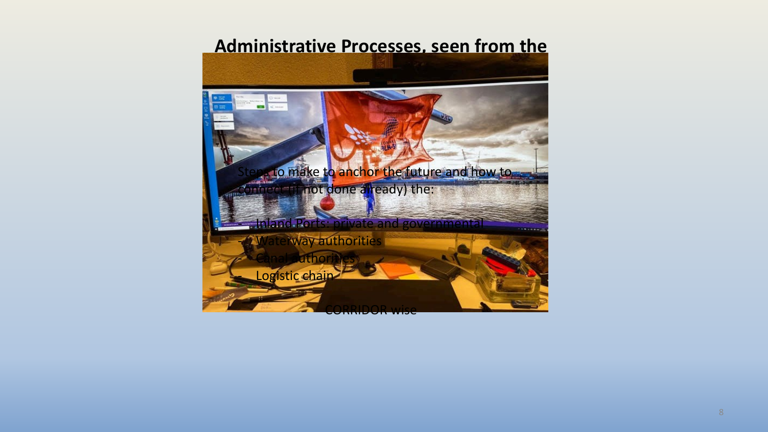### **Administrative Processes, seen from the**